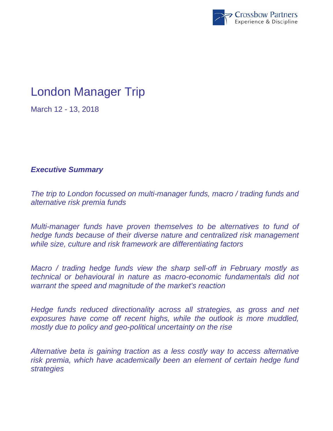

# London Manager Trip

March 12 - 13, 2018

## *Executive Summary*

*The trip to London focussed on multi-manager funds, macro / trading funds and alternative risk premia funds* 

*Multi-manager funds have proven themselves to be alternatives to fund of hedge funds because of their diverse nature and centralized risk management while size, culture and risk framework are differentiating factors* 

*Macro / trading hedge funds view the sharp sell-off in February mostly as technical or behavioural in nature as macro-economic fundamentals did not warrant the speed and magnitude of the market's reaction* 

*Hedge funds reduced directionality across all strategies, as gross and net exposures have come off recent highs, while the outlook is more muddled, mostly due to policy and geo-political uncertainty on the rise* 

*Alternative beta is gaining traction as a less costly way to access alternative risk premia, which have academically been an element of certain hedge fund strategies*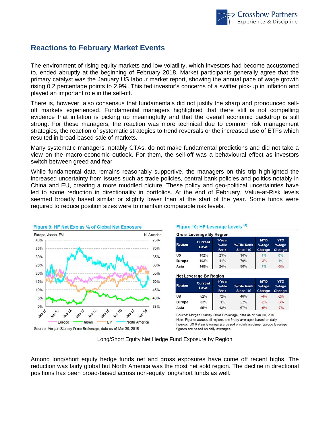

### **Reactions to February Market Events**

The environment of rising equity markets and low volatility, which investors had become accustomed to, ended abruptly at the beginning of February 2018. Market participants generally agree that the primary catalyst was the January US labour market report, showing the annual pace of wage growth rising 0.2 percentage points to 2.9%. This fed investor's concerns of a swifter pick-up in inflation and played an important role in the sell-off.

There is, however, also consensus that fundamentals did not justify the sharp and pronounced selloff markets experienced. Fundamental managers highlighted that there still is not compelling evidence that inflation is picking up meaningfully and that the overall economic backdrop is still strong. For these managers, the reaction was more technical due to common risk management strategies, the reaction of systematic strategies to trend reversals or the increased use of ETFs which resulted in broad-based sale of markets.

Many systematic managers, notably CTAs, do not make fundamental predictions and did not take a view on the macro-economic outlook. For them, the sell-off was a behavioural effect as investors switch between greed and fear.

While fundamental data remains reasonably supportive, the managers on this trip highlighted the increased uncertainty from issues such as trade policies, central bank policies and politics notably in China and EU, creating a more muddled picture. These policy and geo-political uncertainties have led to some reduction in directionality in portfolios. At the end of February, Value-at-Risk levels seemed broadly based similar or slightly lower than at the start of the year. Some funds were required to reduce position sizes were to maintain comparable risk levels.



Figure 10: HF Leverage Levels (4)

| Gross Leverage By Regior |  |
|--------------------------|--|

| Region    | <b>Current</b><br>Level | 1-Year<br>%-tile<br>Rank | %-Tile Rank<br>Since '10 | <b>MTD</b><br>$%$ -tage<br>Change | <b>YTD</b><br>$%$ -tage<br>Change |
|-----------|-------------------------|--------------------------|--------------------------|-----------------------------------|-----------------------------------|
| <b>US</b> | 162%                    | 25%                      | 90%                      | 1%                                | 0%                                |
| Europe    | 193%                    | 41%                      | 79%                      | $-3%$                             | 1%                                |
| Asia      | 148%                    | 24%                      | 90%                      | 1%                                | $-3%$                             |

#### **Net Leverage By Region**

| <b>Region</b> | <b>Current</b><br>Level | 1-Year<br>%-tile<br><b>Rank</b> | %-Tile Rank<br>Since '10 | <b>MTD</b><br>$%$ -tage<br><b>Change</b> | YTD<br>$%$ -tage<br>Change |
|---------------|-------------------------|---------------------------------|--------------------------|------------------------------------------|----------------------------|
| <b>US</b>     | 52%                     | 72%                             | 46%                      | $-4%$                                    | $-2%$                      |
| Europe        | 33%                     | 1%                              | 22%                      | $-2%$                                    | $-3%$                      |
| Asia          | 55%                     | 43%                             | 67%                      | $-6%$                                    | $-7%$                      |

Source: Morgan Stanley Prime Brokerage, data as of Mar 30, 2018 Note: Figures across all regions are 5-day averages based on daily figures. US & Asia leverage are based on daily medians; Europe leverage figures are based on daily averages.

Long/Short Equity Net Hedge Fund Exposure by Region

Among long/short equity hedge funds net and gross exposures have come off recent highs. The reduction was fairly global but North America was the most net sold region. The decline in directional positions has been broad-based across non-equity long/short funds as well.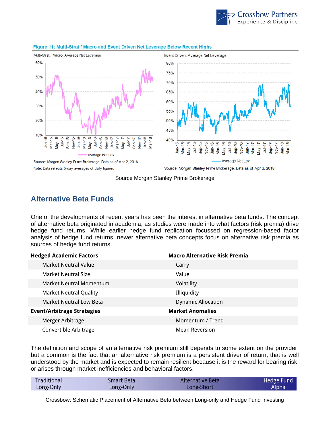



#### Figure 11: Multi-Strat / Macro and Event Driven Net Leverage Below Recent Highs

Note: Data refects 5-day averages of daily figures

Source: Morgan Stanley Prime Brokerage, Data as of Apr 2, 2018

Nov-16  $Jan-17$  $Mar-17$ 

န္တ

 $Jul-17$ Sep-17 Nov-17  $Jan-18$ 

 $A$ ay-17

 $Mar-18$ 

Source Morgan Stanley Prime Brokerage

### **Alternative Beta Funds**

One of the developments of recent years has been the interest in alternative beta funds. The concept of alternative beta originated in academia, as studies were made into what factors (risk premia) drive hedge fund returns. While earlier hedge fund replication focussed on regression-based factor analysis of hedge fund returns, newer alternative beta concepts focus on alternative risk premia as sources of hedge fund returns.

| <b>Hedged Academic Factors</b>    | <b>Macro Alternative Risk Premia</b> |
|-----------------------------------|--------------------------------------|
| <b>Market Neutral Value</b>       | Carry                                |
| <b>Market Neutral Size</b>        | Value                                |
| Market Neutral Momentum           | Volatility                           |
| <b>Market Neutral Quality</b>     | Illiquidity                          |
| <b>Market Neutral Low Beta</b>    | <b>Dynamic Allocation</b>            |
| <b>Event/Arbitrage Strategies</b> | <b>Market Anomalies</b>              |
| Merger Arbitrage                  | Momentum / Trend                     |
| Convertible Arbitrage             | <b>Mean Reversion</b>                |

The definition and scope of an alternative risk premium still depends to some extent on the provider, but a common is the fact that an alternative risk premium is a persistent driver of return, that is well understood by the market and is expected to remain resilient because it is the reward for bearing risk, or arises through market inefficiencies and behavioral factors.

| Traditional | Smart Beta | Alternative Beta | Hedge Fund |
|-------------|------------|------------------|------------|
| Long-Only   | Long-Only  | Long-Short       | Alpha      |

Crossbow: Schematic Placement of Alternative Beta between Long-only and Hedge Fund Investing